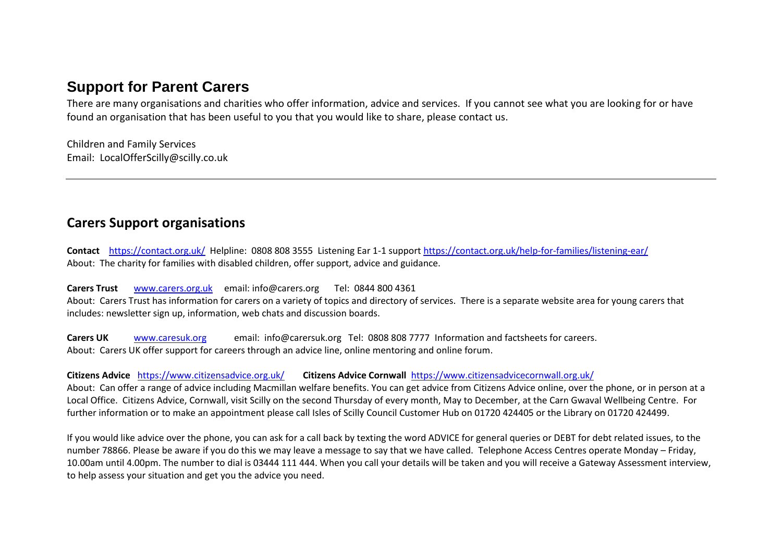# **Support for Parent Carers**

There are many organisations and charities who offer information, advice and services. If you cannot see what you are looking for or have found an organisation that has been useful to you that you would like to share, please contact us.

Children and Family Services Email: LocalOfferScilly@scilly.co.uk

# **Carers Support organisations**

**Contact** <https://contact.org.uk/>Helpline: 0808 808 3555 Listening Ear 1-1 suppor[t https://contact.org.uk/help-for-families/listening-ear/](https://contact.org.uk/help-for-families/listening-ear/)  About: The charity for families with disabled children, offer support, advice and guidance.

**Carers Trust** [www.carers.org.uk](http://www.carers.org.uk/) email: info@carers.org Tel: 0844 800 4361 About: Carers Trust has information for carers on a variety of topics and directory of services. There is a separate website area for young carers that includes: newsletter sign up, information, web chats and discussion boards.

**Carers UK** [www.caresuk.org](http://www.caresuk.org/) email: info@carersuk.org Tel: 0808 808 7777 Information and factsheets for careers. About: Carers UK offer support for careers through an advice line, online mentoring and online forum.

**Citizens Advice** <https://www.citizensadvice.org.uk/> **Citizens Advice Cornwall** <https://www.citizensadvicecornwall.org.uk/>

About: Can offer a range of advice including Macmillan welfare benefits. You can get advice from Citizens Advice online, over the phone, or in person at a Local Office. Citizens Advice, Cornwall, visit Scilly on the second Thursday of every month, May to December, at the Carn Gwaval Wellbeing Centre. For further information or to make an appointment please call Isles of Scilly Council Customer Hub on 01720 424405 or the Library on 01720 424499.

If you would like advice over the phone, you can ask for a call back by texting the word ADVICE for general queries or DEBT for debt related issues, to the number 78866. Please be aware if you do this we may leave a message to say that we have called. Telephone Access Centres operate Monday – Friday, 10.00am until 4.00pm. The number to dial is 03444 111 444. When you call your details will be taken and you will receive a Gateway Assessment interview, to help assess your situation and get you the advice you need.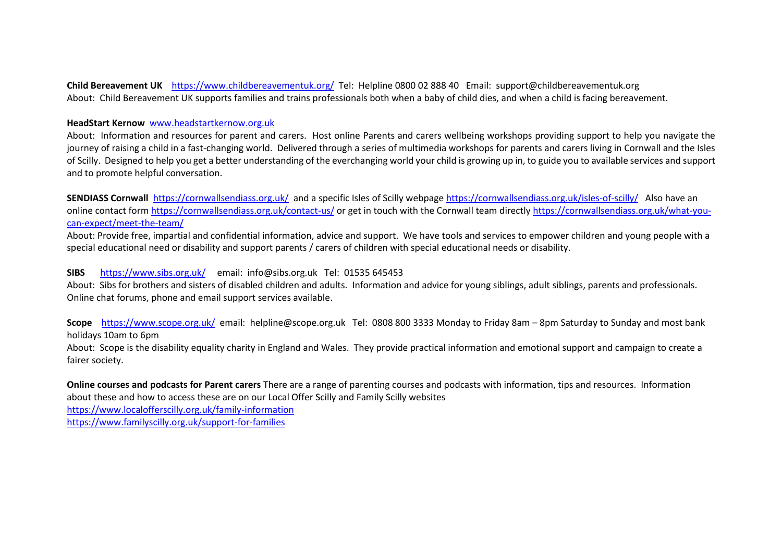**Child Bereavement UK** <https://www.childbereavementuk.org/>Tel: Helpline 0800 02 888 40 Email: support@childbereavementuk.org About: Child Bereavement UK supports families and trains professionals both when a baby of child dies, and when a child is facing bereavement.

#### **HeadStart Kernow** [www.headstartkernow.org.uk](http://www.headstartkernow.org.uk/)

About: Information and resources for parent and carers. Host online Parents and carers wellbeing workshops providing support to help you navigate the journey of raising a child in a fast-changing world. Delivered through a series of multimedia workshops for parents and carers living in Cornwall and the Isles of Scilly. Designed to help you get a better understanding of the everchanging world your child is growing up in, to guide you to available services and support and to promote helpful conversation.

**SENDIASS Cornwall** <https://cornwallsendiass.org.uk/>and a specific Isles of Scilly webpage<https://cornwallsendiass.org.uk/isles-of-scilly/>Also have an online contact for[m https://cornwallsendiass.org.uk/contact-us/](https://cornwallsendiass.org.uk/contact-us/) or get in touch with the Cornwall team directl[y https://cornwallsendiass.org.uk/what-you](https://cornwallsendiass.org.uk/what-you-can-expect/meet-the-team/)[can-expect/meet-the-team/](https://cornwallsendiass.org.uk/what-you-can-expect/meet-the-team/)

About: Provide free, impartial and confidential information, advice and support. We have tools and services to empower children and young people with a special educational need or disability and support parents / carers of children with special educational needs or disability.

#### **SIBS** <https://www.sibs.org.uk/>email: info@sibs.org.uk Tel: 01535 645453

About: Sibs for brothers and sisters of disabled children and adults. Information and advice for young siblings, adult siblings, parents and professionals. Online chat forums, phone and email support services available.

**Scope** <https://www.scope.org.uk/>email: helpline@scope.org.uk Tel: 0808 800 3333 Monday to Friday 8am – 8pm Saturday to Sunday and most bank holidays 10am to 6pm

About: Scope is the disability equality charity in England and Wales. They provide practical information and emotional support and campaign to create a fairer society.

**Online courses and podcasts for Parent carers** There are a range of parenting courses and podcasts with information, tips and resources. Information about these and how to access these are on our Local Offer Scilly and Family Scilly websites

<https://www.localofferscilly.org.uk/family-information>

<https://www.familyscilly.org.uk/support-for-families>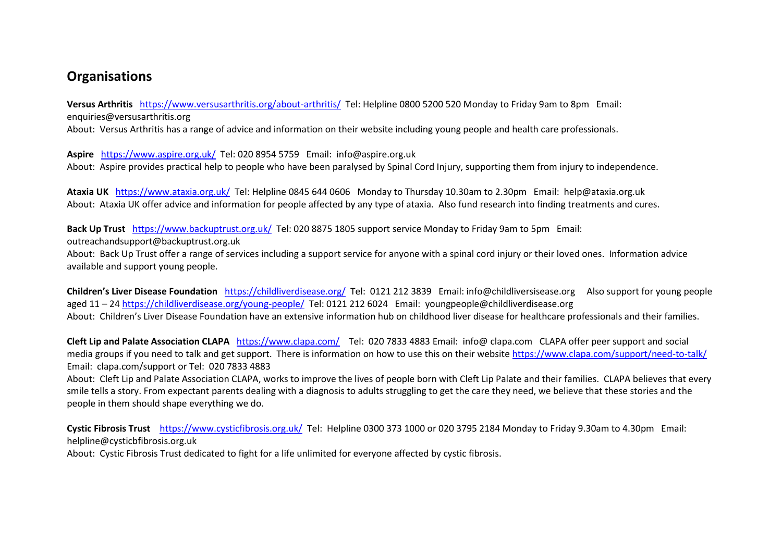# **Organisations**

**Versus Arthritis** <https://www.versusarthritis.org/about-arthritis/>Tel: Helpline 0800 5200 520 Monday to Friday 9am to 8pm Email: enquiries@versusarthritis.org

About: Versus Arthritis has a range of advice and information on their website including young people and health care professionals.

**Aspire** <https://www.aspire.org.uk/>Tel: 020 8954 5759Email: info@aspire.org.uk About: Aspire provides practical help to people who have been paralysed by Spinal Cord Injury, supporting them from injury to independence.

**Ataxia UK** <https://www.ataxia.org.uk/>Tel: Helpline 0845 644 0606 Monday to Thursday 10.30am to 2.30pm Email: help@ataxia.org.uk About: Ataxia UK offer advice and information for people affected by any type of ataxia. Also fund research into finding treatments and cures.

**Back Up Trust** <https://www.backuptrust.org.uk/>Tel: 020 8875 1805 support service Monday to Friday 9am to 5pm Email:

outreachandsupport@backuptrust.org.uk

About: Back Up Trust offer a range of services including a support service for anyone with a spinal cord injury or their loved ones. Information advice available and support young people.

**Children's Liver Disease Foundation** <https://childliverdisease.org/>Tel: 0121 212 3839 Email: info@childliversisease.org Also support for young people aged 11 – 2[4 https://childliverdisease.org/young-people/](https://childliverdisease.org/young-people/) Tel: 0121 212 6024 Email: youngpeople@childliverdisease.org About: Children's Liver Disease Foundation have an extensive information hub on childhood liver disease for healthcare professionals and their families.

**Cleft Lip and Palate Association CLAPA** <https://www.clapa.com/>Tel: 020 7833 4883 Email: info@ clapa.com CLAPA offer peer support and social media groups if you need to talk and get support. There is information on how to use this on their website https://www.clapa.com/support/need-to-talk/ Email: clapa.com/support or Tel: 020 7833 4883

About: Cleft Lip and Palate Association CLAPA, works to improve the lives of people born with Cleft Lip Palate and their families. CLAPA believes that every smile tells a story. From expectant parents dealing with a diagnosis to adults struggling to get the care they need, we believe that these stories and the people in them should shape everything we do.

**Cystic Fibrosis Trust** <https://www.cysticfibrosis.org.uk/>Tel: Helpline 0300 373 1000 or 020 3795 2184 Monday to Friday 9.30am to 4.30pm Email: helpline@cysticbfibrosis.org.uk

About: Cystic Fibrosis Trust dedicated to fight for a life unlimited for everyone affected by cystic fibrosis.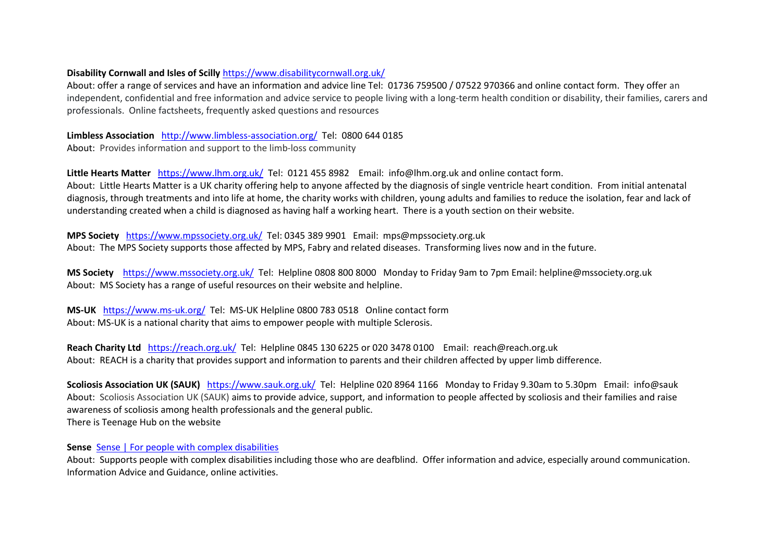#### **Disability Cornwall and Isles of Scilly** <https://www.disabilitycornwall.org.uk/>

About: offer a range of services and have an information and advice line Tel: 01736 759500 / 07522 970366 and online contact form. They offer an independent, confidential and free information and advice service to people living with a long-term health condition or disability, their families, carers and professionals. Online factsheets, frequently asked questions and resources

**Limbless Association** <http://www.limbless-association.org/>Tel: 0800 644 0185

About: Provides information and support to the limb-loss community

**Little Hearts Matter** <https://www.lhm.org.uk/>Tel: 0121 455 8982 Email: info@lhm.org.uk and online contact form.

About: Little Hearts Matter is a UK charity offering help to anyone affected by the diagnosis of single ventricle heart condition. From initial antenatal diagnosis, through treatments and into life at home, the charity works with children, young adults and families to reduce the isolation, fear and lack of understanding created when a child is diagnosed as having half a working heart. There is a youth section on their website.

**MPS Society** <https://www.mpssociety.org.uk/>Tel: 0345 389 9901 Email: mps@mpssociety.org.uk About: The MPS Society supports those affected by MPS, Fabry and related diseases. Transforming lives now and in the future.

**MS Society** <https://www.mssociety.org.uk/> Tel: Helpline 0808 800 8000 Monday to Friday 9am to 7pm Email: helpline@mssociety.org.uk About: MS Society has a range of useful resources on their website and helpline.

**MS-UK** <https://www.ms-uk.org/>Tel: MS-UK Helpline 0800 783 0518 Online contact form About: MS-UK is a national charity that aims to empower people with multiple Sclerosis.

**Reach Charity Ltd** <https://reach.org.uk/>Tel: Helpline 0845 130 6225 or 020 3478 0100 Email: reach@reach.org.uk About: REACH is a charity that provides support and information to parents and their children affected by upper limb difference.

**Scoliosis Association UK (SAUK)** <https://www.sauk.org.uk/>Tel: Helpline 020 8964 1166 Monday to Friday 9.30am to 5.30pm Email: info@sauk About: Scoliosis Association UK (SAUK) aims to provide advice, support, and information to people affected by scoliosis and their families and raise awareness of scoliosis among health professionals and the general public. There is Teenage Hub on the website

**Sense** [Sense | For people with complex disabilities](https://www.sense.org.uk/) 

About: Supports people with complex disabilities including those who are deafblind. Offer information and advice, especially around communication. Information Advice and Guidance, online activities.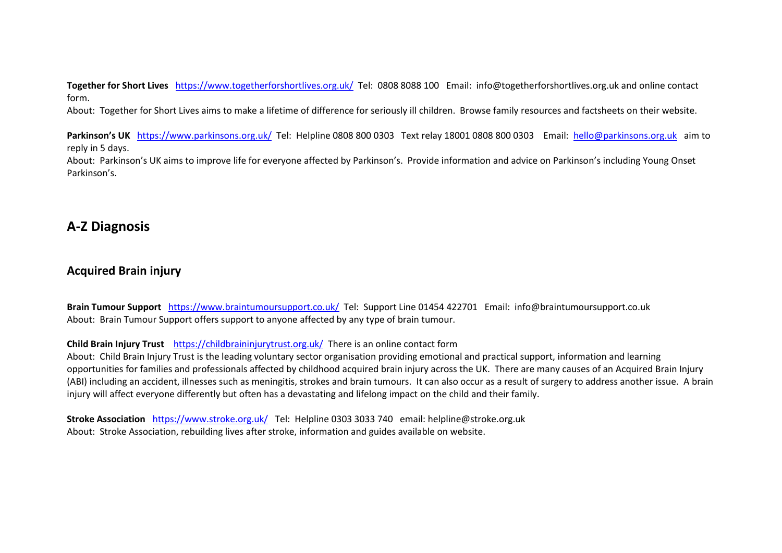**Together for Short Lives** <https://www.togetherforshortlives.org.uk/>Tel: 0808 8088 100 Email: info@togetherforshortlives.org.uk and online contact form.

About: Together for Short Lives aims to make a lifetime of difference for seriously ill children. Browse family resources and factsheets on their website.

**Parkinson's UK** <https://www.parkinsons.org.uk/>Tel: Helpline 0808 800 0303Text relay 18001 0808 800 0303 Email: [hello@parkinsons.org.uk](mailto:hello@parkinsons.org.uk) aim to reply in 5 days.

About: Parkinson's UK aims to improve life for everyone affected by Parkinson's. Provide information and advice on Parkinson's including Young Onset Parkinson's.

# **A-Z Diagnosis**

# **Acquired Brain injury**

**Brain Tumour Support** <https://www.braintumoursupport.co.uk/>Tel: Support Line 01454 422701 Email: info@braintumoursupport.co.uk About: Brain Tumour Support offers support to anyone affected by any type of brain tumour.

#### **Child Brain Injury Trust** <https://childbraininjurytrust.org.uk/>There is an online contact form

About: Child Brain Injury Trust is the leading voluntary sector organisation providing emotional and practical support, information and learning opportunities for families and professionals affected by childhood acquired brain injury across the UK. There are many causes of an Acquired Brain Injury (ABI) including an accident, illnesses such as meningitis, strokes and brain tumours. It can also occur as a result of surgery to address another issue. A brain injury will affect everyone differently but often has a devastating and lifelong impact on the child and their family.

**Stroke Association** <https://www.stroke.org.uk/>Tel: Helpline 0303 3033 740 email: helpline@stroke.org.uk About: Stroke Association, rebuilding lives after stroke, information and guides available on website.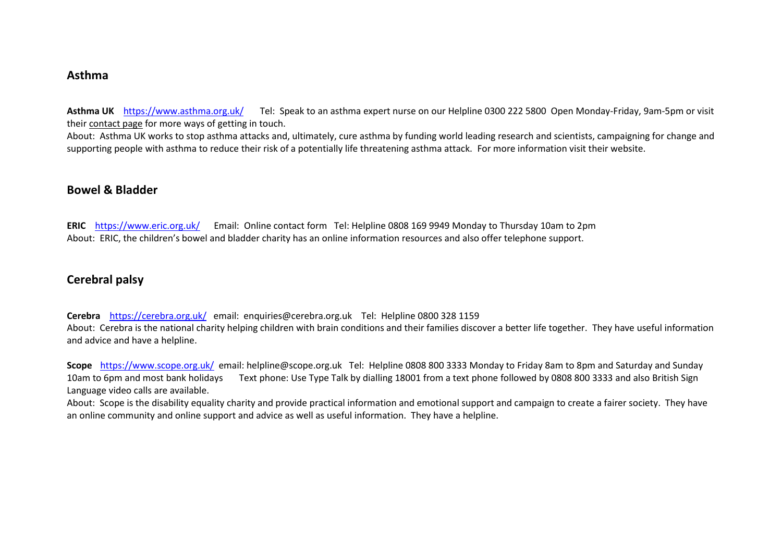### **Asthma**

**Asthma UK** <https://www.asthma.org.uk/>Tel: Speak to an asthma expert nurse on our Helpline 0300 222 [5800](tel:0300%20222%205800) Open Monday-Friday, 9am-5pm or visit their [contact](https://www.asthma.org.uk/link/d8cb0ec3f95c40feb329086eeb517546.aspx) page for more ways of getting in touch.

About: Asthma UK works to stop asthma attacks and, ultimately, cure asthma by funding world leading research and scientists, campaigning for change and supporting people with asthma to reduce their risk of a potentially life threatening asthma attack. For more information visit their website.

### **Bowel & Bladder**

**ERIC** <https://www.eric.org.uk/>Email: Online contact form Tel: Helpline 0808 169 9949 Monday to Thursday 10am to 2pm About: ERIC, the children's bowel and bladder charity has an online information resources and also offer telephone support.

# **Cerebral palsy**

**Cerebra** <https://cerebra.org.uk/>email: enquiries@cerebra.org.uk Tel: Helpline 0800 328 1159 About: Cerebra is the national charity helping children with brain conditions and their families discover a better life together. They have useful information and advice and have a helpline.

**Scope** <https://www.scope.org.uk/>email: helpline@scope.org.uk Tel: Helpline 0808 800 3333 Monday to Friday 8am to 8pm and Saturday and Sunday 10am to 6pm and most bank holidays Text phone: Use Type Talk by dialling [18001](tel:18001) from a text phone followed by 0808 800 3333 and also British Sign Language video calls are available.

About: Scope is the disability equality charity and provide practical information and emotional support and campaign to create a fairer society. They have an online community and online support and advice as well as useful information. They have a helpline.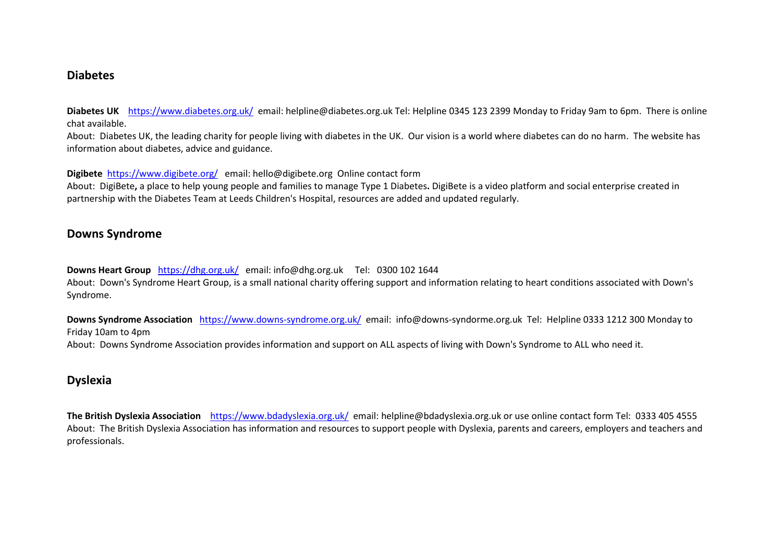### **Diabetes**

**Diabetes UK** <https://www.diabetes.org.uk/>email: helpline@diabetes.org.uk Tel: Helpline 0345 123 2399 Monday to Friday 9am to 6pm. There is online chat available.

About: Diabetes UK, the leading charity for people living with diabetes in the UK. Our vision is a world where diabetes can do no harm. The website has information about diabetes, advice and guidance.

**Digibete** <https://www.digibete.org/>email: hello@digibete.org Online contact form

About: DigiBete**,** a place to help young people and families to manage Type 1 Diabetes**.** DigiBete is a video platform and social enterprise created in partnership with the Diabetes Team at Leeds Children's Hospital, resources are added and updated regularly.

# **Downs Syndrome**

**Downs Heart Group** <https://dhg.org.uk/>email: info@dhg.org.uk Tel: 0300 102 1644 About: Down's Syndrome Heart Group, is a small national charity offering support and information relating to heart conditions associated with Down's Syndrome.

**Downs Syndrome Association**<https://www.downs-syndrome.org.uk/>email: info@downs-syndorme.org.uk Tel: Helpline 0333 1212 300 Monday to Friday 10am to 4pm

About: Downs Syndrome Association provides information and support on ALL aspects of living with Down's Syndrome to ALL who need it.

# **Dyslexia**

**The British Dyslexia Association** <https://www.bdadyslexia.org.uk/> email: helpline@bdadyslexia.org.uk or use online contact form Tel: 0333 405 4555 About: The British Dyslexia Association has information and resources to support people with Dyslexia, parents and careers, employers and teachers and professionals.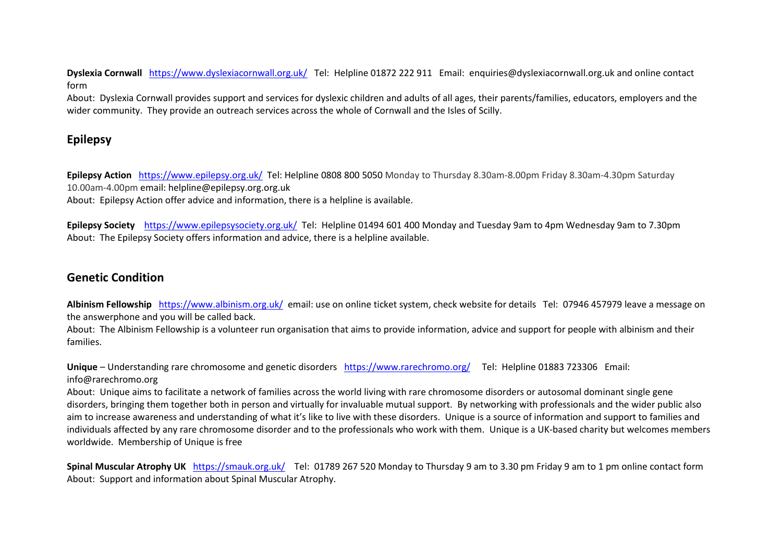**Dyslexia Cornwall** <https://www.dyslexiacornwall.org.uk/>Tel: Helpline 01872 222 911 Email: enquiries@dyslexiacornwall.org.uk and online contact form

About: Dyslexia Cornwall provides support and services for dyslexic children and adults of all ages, their parents/families, educators, employers and the wider community. They provide an outreach services across the whole of Cornwall and the Isles of Scilly.

# **Epilepsy**

**Epilepsy Action** <https://www.epilepsy.org.uk/>Tel: Helpline 0808 800 5050 Monday to Thursday 8.30am-8.00pm Friday 8.30am-4.30pm Saturday 10.00am-4.00pm email: helpline@epilepsy.org.org.uk

About: Epilepsy Action offer advice and information, there is a helpline is available.

**Epilepsy Society** <https://www.epilepsysociety.org.uk/>Tel: Helpline 01494 601 400 Monday and Tuesday 9am to 4pm Wednesday 9am to 7.30pm About: The Epilepsy Society offers information and advice, there is a helpline available.

# **Genetic Condition**

**Albinism Fellowship** <https://www.albinism.org.uk/>email: use on online ticket system, check website for details Tel: 07946 457979 leave a message on the answerphone and you will be called back.

About: The Albinism Fellowship is a volunteer run organisation that aims to provide information, advice and support for people with albinism and their families.

**Unique** – Understanding rare chromosome and genetic disorders<https://www.rarechromo.org/>Tel: Helpline 01883 723306Email: info@rarechromo.org

About: Unique aims to facilitate a network of families across the world living with rare chromosome disorders or autosomal dominant single gene disorders, bringing them together both in person and virtually for invaluable mutual support. By networking with professionals and the wider public also aim to increase awareness and understanding of what it's like to live with these disorders. Unique is a source of information and support to families and individuals affected by any rare chromosome disorder and to the professionals who work with them. Unique is a UK-based charity but welcomes members worldwide. Membership of Unique is free

**Spinal Muscular Atrophy UK** <https://smauk.org.uk/>Tel: 01789 267 520 Monday to Thursday 9 am to 3.30 pm Friday 9 am to 1 pm online contact form About: Support and information about Spinal Muscular Atrophy.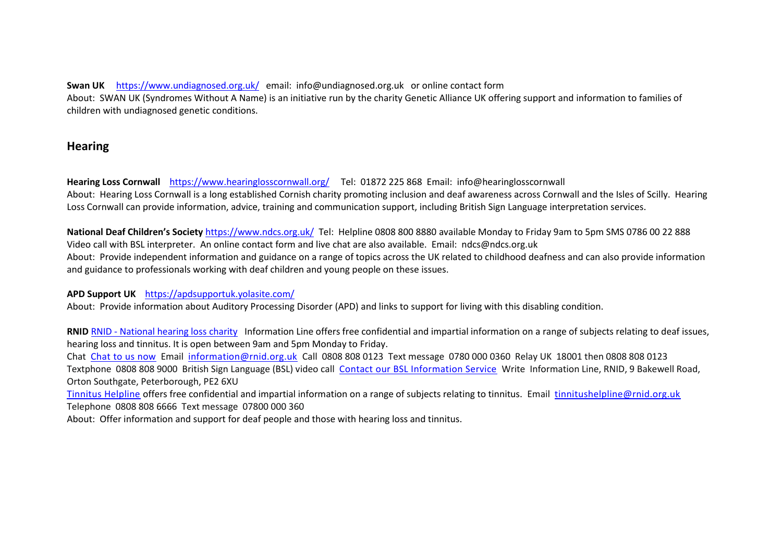**Swan UK** <https://www.undiagnosed.org.uk/>email: info@undiagnosed.org.uk or online contact form About: SWAN UK (Syndromes Without A Name) is an initiative run by the charity Genetic Alliance UK offering support and information to families of children with undiagnosed genetic conditions.

# **Hearing**

**Hearing Loss Cornwall** <https://www.hearinglosscornwall.org/>Tel: 01872 225 868 Email: info@hearinglosscornwall About: Hearing Loss Cornwall is a long established Cornish charity promoting inclusion and deaf awareness across Cornwall and the Isles of Scilly. Hearing Loss Cornwall can provide information, advice, training and communication support, including British Sign Language interpretation services.

**National Deaf Children's Society** <https://www.ndcs.org.uk/>Tel: Helpline 0808 800 8880 available Monday to Friday 9am to 5pm SMS 0786 00 22 888 Video call with BSL interpreter. An online contact form and live chat are also available. Email: ndcs@ndcs.org.uk About: Provide independent information and guidance on a range of topics across the UK related to childhood deafness and can also provide information and guidance to professionals working with deaf children and young people on these issues.

**APD Support UK** <https://apdsupportuk.yolasite.com/>

About: Provide information about Auditory Processing Disorder (APD) and links to support for living with this disabling condition.

**RNID** RNID - [National hearing loss charity](https://rnid.org.uk/) Information Line offers free confidential and impartial information on a range of subjects relating to deaf issues, hearing loss and tinnitus. It is open between 9am and 5pm Monday to Friday.

Chat [Chat to us now](https://rnid.org.uk/about-us/contact-us/) Email [information@rnid.org.uk](mailto:information@rnid.org.uk) Call 0808 808 0123 Text message 0780 000 0360 Relay UK 18001 then 0808 808 0123 Textphone 0808 808 9000 British Sign Language (BSL) video call [Contact our BSL Information Service](https://rnid.org.uk/information-and-support/information-line/bsl-information-service/) Write Information Line, RNID, 9 Bakewell Road, Orton Southgate, Peterborough, PE2 6XU

[Tinnitus Helpline](https://rnid.org.uk/information-and-support/tinnitus/tinnitus-helpline/) offers free confidential and impartial information on a range of subjects relating to tinnitus. Email tinnitushelpline@rnid.org.uk Telephone 0808 808 6666 Text message 07800 000 360

About: Offer information and support for deaf people and those with hearing loss and tinnitus.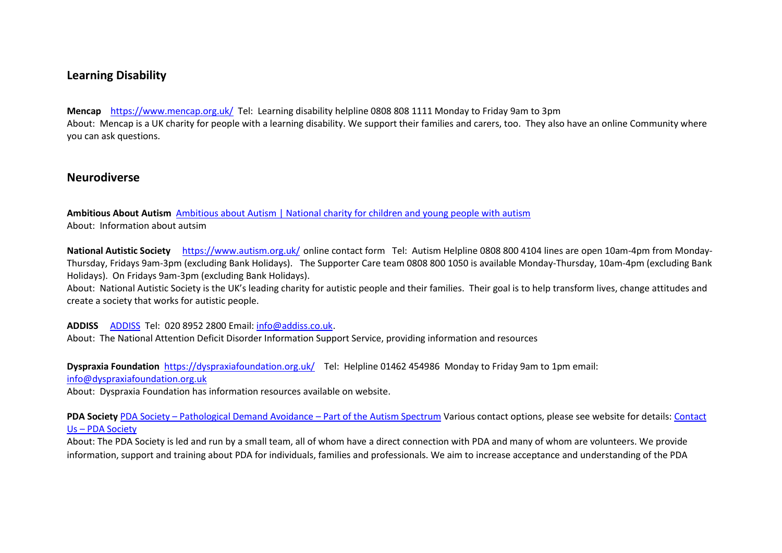# **Learning Disability**

**Mencap** <https://www.mencap.org.uk/>Tel: Learning disability helpline 0808 808 1111 Monday to Friday 9am to 3pm About: Mencap is a UK charity for people with a learning disability. We support their families and carers, too. They also have an online Community where you can ask questions.

### **Neurodiverse**

**Ambitious About Autism** [Ambitious about Autism | National charity for children and young people with autism](https://www.ambitiousaboutautism.org.uk/)  About: Information about autsim

**National Autistic Society** <https://www.autism.org.uk/> online contact form Tel: Autism Helpline 0808 800 4104 lines are open 10am-4pm from Monday-Thursday, Fridays 9am-3pm (excluding Bank Holidays). The Supporter Care team 0808 800 1050 is available Monday-Thursday, 10am-4pm (excluding Bank Holidays). On Fridays 9am-3pm (excluding Bank Holidays).

About: National Autistic Society is the UK's leading charity for autistic people and their families. Their goal is to help transform lives, change attitudes and create a society that works for autistic people.

**ADDISS** [ADDISS](http://www.addiss.co.uk/) Tel: 020 8952 2800 Email: [info@addiss.co.uk](mailto:info@addiss.co.uk).

About: The National Attention Deficit Disorder Information Support Service, providing information and resources

**Dyspraxia Foundation** <https://dyspraxiafoundation.org.uk/>Tel: Helpline 01462 454986 Monday to Friday 9am to 1pm email:

[info@dyspraxiafoundation.org.uk](mailto:info@dyspraxiafoundation.org.uk) 

About: Dyspraxia Foundation has information resources available on website.

**PDA Society** PDA Society – [Pathological Demand Avoidance](https://www.pdasociety.org.uk/) – Part of the Autism Spectrum Various contact options, please see website for details[: Contact](https://www.pdasociety.org.uk/contact-us/)  Us – [PDA Society](https://www.pdasociety.org.uk/contact-us/)

About: The PDA Society is led and run by a small team, all of whom have a direct connection with PDA and many of whom are volunteers. We provide information, support and training about PDA for individuals, families and professionals. We aim to increase acceptance and understanding of the PDA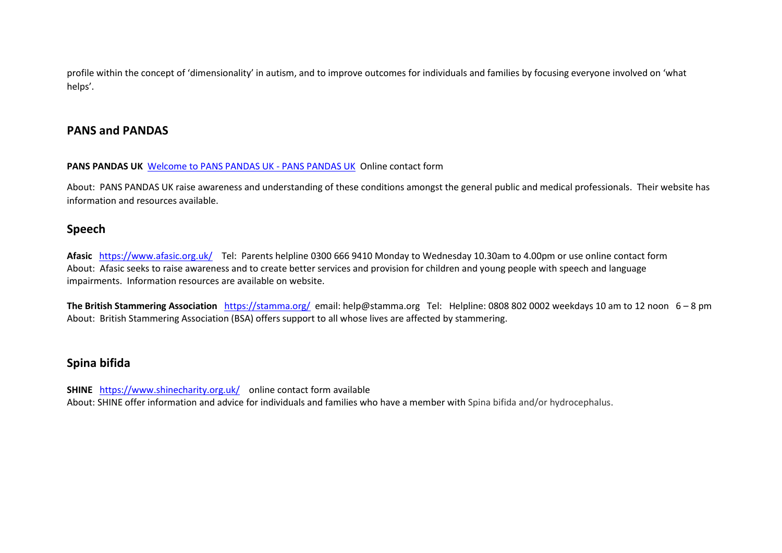profile within the concept of 'dimensionality' in autism, and to improve outcomes for individuals and families by focusing everyone involved on 'what helps'.

# **PANS and PANDAS**

#### **PANS PANDAS UK** [Welcome to PANS PANDAS UK -](https://www.panspandasuk.org/home) PANS PANDAS UK Online contact form

About: PANS PANDAS UK raise awareness and understanding of these conditions amongst the general public and medical professionals. Their website has information and resources available.

# **Speech**

**Afasic** <https://www.afasic.org.uk/>Tel: Parents helpline 0300 666 9410 Monday to Wednesday 10.30am to 4.00pm or use online contact form About: Afasic seeks to raise awareness and to create better services and provision for children and young people with speech and language impairments. Information resources are available on website.

**The British Stammering Association** <https://stamma.org/>email: help@stamma.org Tel: Helpline: 0808 802 0002 weekdays 10 am to 12 noon 6 – 8 pm About: British Stammering Association (BSA) offers support to all whose lives are affected by stammering.

# **Spina bifida**

**SHINE** <https://www.shinecharity.org.uk/>online contact form available About: SHINE offer information and advice for individuals and families who have a member with Spina bifida and/or hydrocephalus.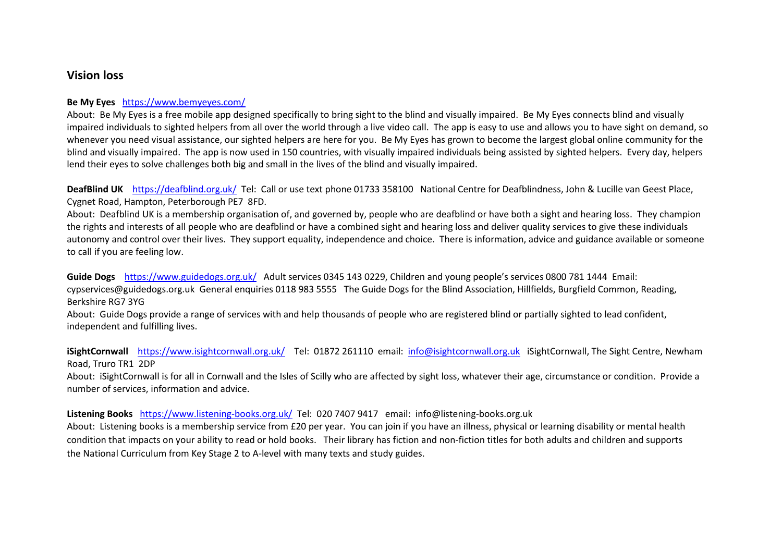### **Vision loss**

#### **Be My Eyes** <https://www.bemyeyes.com/>

About: Be My Eyes is a free mobile app designed specifically to bring sight to the blind and visually impaired. Be My Eyes connects blind and visually impaired individuals to sighted helpers from all over the world through a live video call. The app is easy to use and allows you to have sight on demand, so whenever you need visual assistance, our sighted helpers are here for you. Be My Eyes has grown to become the largest global online community for the blind and visually impaired. The app is now used in 150 countries, with visually impaired individuals being assisted by sighted helpers. Every day, helpers lend their eyes to solve challenges both big and small in the lives of the blind and visually impaired.

**DeafBlind UK** <https://deafblind.org.uk/>Tel: Call or use text phone 01733 358100 National Centre for Deafblindness, John & Lucille van Geest Place, Cygnet Road, Hampton, Peterborough PE7 8FD.

About: Deafblind UK is a membership organisation of, and governed by, people who are deafblind or have both a sight and hearing loss. They champion the rights and interests of all people who are deafblind or have a combined sight and hearing loss and deliver quality services to give these individuals autonomy and control over their lives. They support equality, independence and choice. There is information, advice and guidance available or someone to call if you are feeling low.

**Guide Dogs** <https://www.guidedogs.org.uk/>Adult services 0345 143 0229, Children and young people's services 0800 781 1444 Email: cypservices@guidedogs.org.uk General enquiries 0118 983 5555 The Guide Dogs for the Blind Association, Hillfields, Burgfield Common, Reading, Berkshire RG7 3YG

About: Guide Dogs provide a range of services with and help thousands of people who are registered blind or partially sighted to lead confident, independent and fulfilling lives.

**iSightCornwall** <https://www.isightcornwall.org.uk/>Tel: 01872 261110 email: [info@isightcornwall.org.uk](mailto:info@isightcornwall.org.uk) iSightCornwall, The Sight Centre, Newham Road, Truro TR1 2DP

About: iSightCornwall is for all in Cornwall and the Isles of Scilly who are affected by sight loss, whatever their age, circumstance or condition. Provide a number of services, information and advice.

**Listening Books** <https://www.listening-books.org.uk/>Tel: 020 7407 9417 email: info@listening-books.org.uk

About: Listening books is a membership service from £20 per year. You can join if you have an illness, physical or learning disability or mental health condition that impacts on your ability to read or hold books. Their library has fiction and non-fiction titles for both adults and children and supports the National [Curriculum](https://www.listening-books.org.uk/national-curriculum.aspx) from Key Stage 2 to A-level with many texts and study guides.